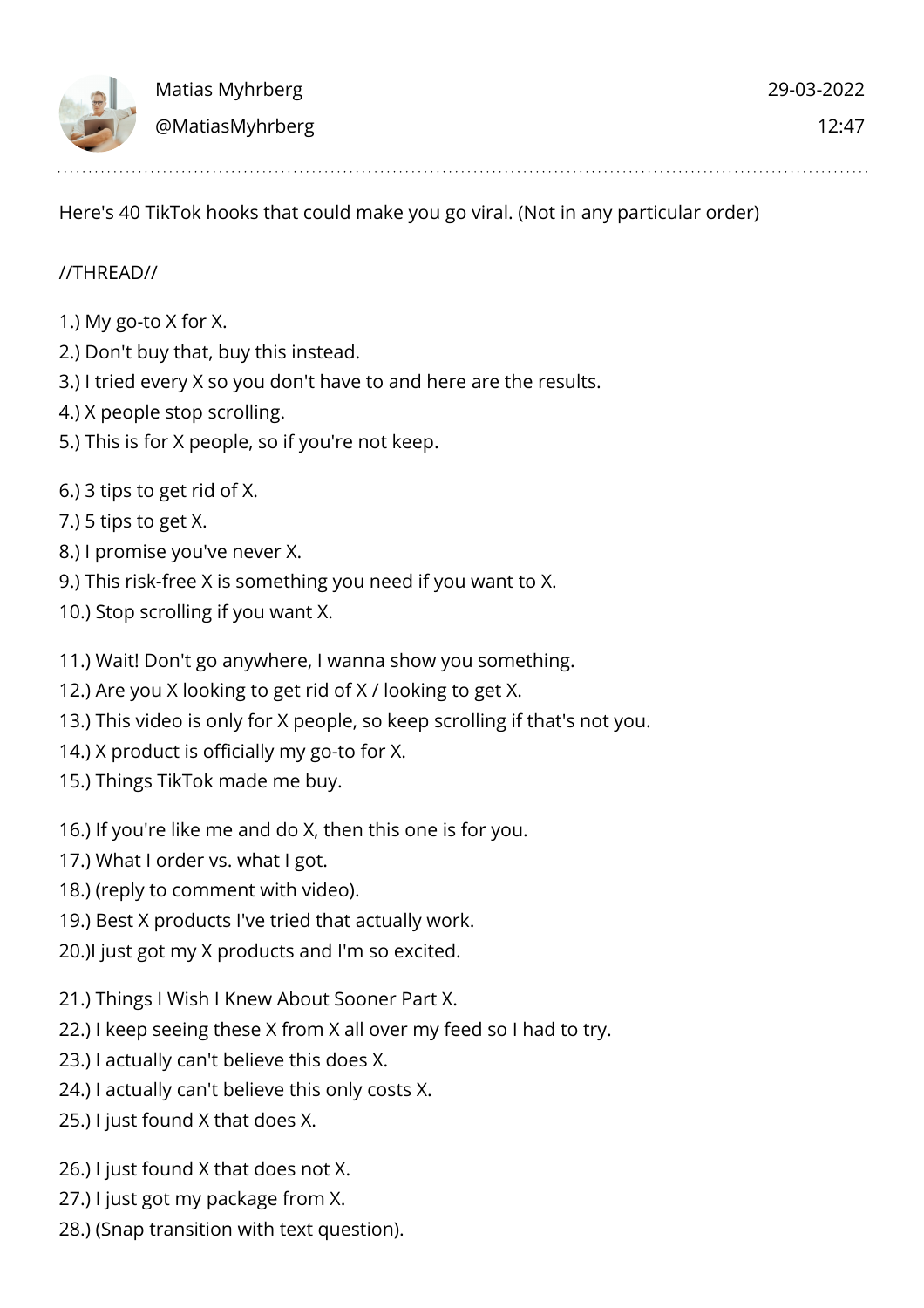Here's 40 TikTok hooks that could make you go viral. (Not in any particular order)

## //THREAD//

- 1.) My go-to X for X.
- 2.) Don't buy that, buy this instead.
- 3.) I tried every X so you don't have to and here are the results.
- 4.) X people stop scrolling.
- 5.) This is for X people, so if you're not keep.
- 6.) 3 tips to get rid of X.
- 7.) 5 tips to get X.
- 8.) I promise you've never X.
- 9.) This risk-free X is something you need if you want to X.
- 10.) Stop scrolling if you want X.
- 11.) Wait! Don't go anywhere, I wanna show you something.
- 12.) Are you X looking to get rid of X / looking to get X.
- 13.) This video is only for X people, so keep scrolling if that's not you.
- 14.) X product is officially my go-to for X.
- 15.) Things TikTok made me buy.
- 16.) If you're like me and do X, then this one is for you.
- 17.) What I order vs. what I got.
- 18.) (reply to comment with video).
- 19.) Best X products I've tried that actually work.
- 20.)I just got my X products and I'm so excited.
- 21.) Things I Wish I Knew About Sooner Part X.
- 22.) I keep seeing these X from X all over my feed so I had to try.
- 23.) I actually can't believe this does X.
- 24.) I actually can't believe this only costs X.
- 25.) I just found X that does X.
- 26.) I just found X that does not X.
- 27.) I just got my package from X.
- 28.) (Snap transition with text question).